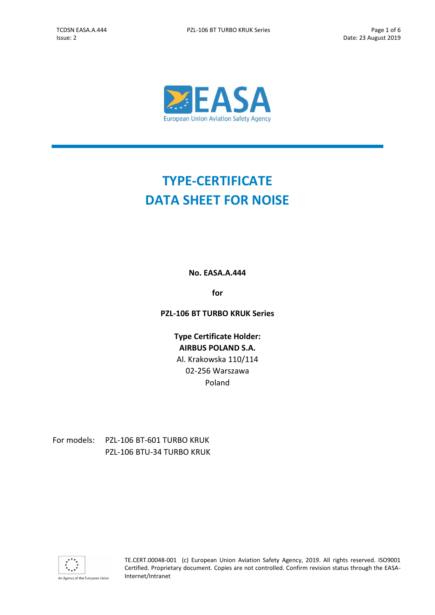

# **TYPE-CERTIFICATE DATA SHEET FOR NOISE**

**No. EASA.A.444**

**for**

**PZL-106 BT TURBO KRUK Series**

**Type Certificate Holder: AIRBUS POLAND S.A.** Al. Krakowska 110/114 02-256 Warszawa Poland

For models: PZL-106 BT-601 TURBO KRUK PZL-106 BTU-34 TURBO KRUK



TE.CERT.00048-001 (c) European Union Aviation Safety Agency, 2019. All rights reserved. ISO9001 Certified. Proprietary document. Copies are not controlled. Confirm revision status through the EASA-Internet/Intranet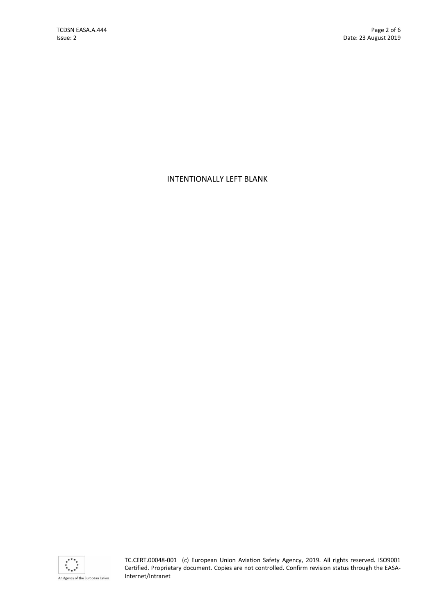# INTENTIONALLY LEFT BLANK



TC.CERT.00048-001 (c) European Union Aviation Safety Agency, 2019. All rights reserved. ISO9001 Certified. Proprietary document. Copies are not controlled. Confirm revision status through the EASA-Internet/Intranet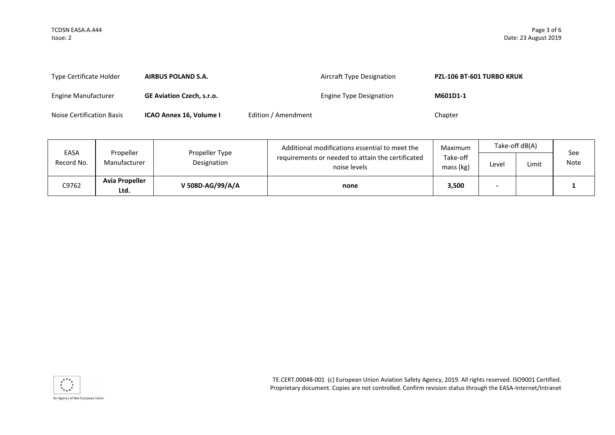| Type Certificate Holder   | AIRBUS POLAND S.A.               |                     | Aircraft Type Designation | PZL-106 BT-601 TURBO KRUK |
|---------------------------|----------------------------------|---------------------|---------------------------|---------------------------|
| Engine Manufacturer       | <b>GE Aviation Czech, s.r.o.</b> |                     | Engine Type Designation   | M601D1-1                  |
| Noise Certification Basis | ICAO Annex 16, Volume I          | Edition / Amendment |                           | Chapter                   |

| EASA<br>Propeller Type<br>Propeller<br>Designation<br>Record No.<br>Manufacturer |                                                                   | Additional modifications essential to meet the | Maximum | Take-off dB(A) |  | See<br>Note |  |
|----------------------------------------------------------------------------------|-------------------------------------------------------------------|------------------------------------------------|---------|----------------|--|-------------|--|
|                                                                                  | requirements or needed to attain the certificated<br>noise levels | Take-off<br>mass (kg)                          | Level   | Limit          |  |             |  |
| C9762                                                                            | <b>Avia Propeller</b><br>Ltd.                                     | V 508D-AG/99/A/A                               | none    | 3,500          |  |             |  |



TE.CERT.00048-001 (c) European Union Aviation Safety Agency, 2019. All rights reserved. ISO9001 Certified. Proprietary document. Copies are not controlled. Confirm revision status through the EASA-Internet/Intranet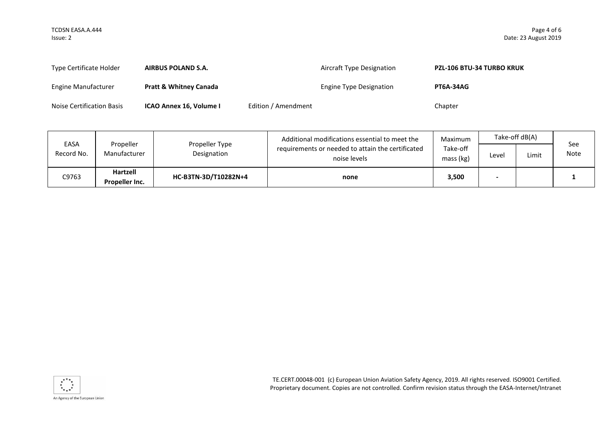| Type Certificate Holder    | AIRBUS POLAND S.A.                |                     | Aircraft Type Designation | <b>PZL-106 BTU-34 TURBO KRUK</b> |
|----------------------------|-----------------------------------|---------------------|---------------------------|----------------------------------|
| <b>Engine Manufacturer</b> | <b>Pratt &amp; Whitney Canada</b> |                     | Engine Type Designation   | PT6A-34AG                        |
| Noise Certification Basis  | ICAO Annex 16, Volume I           | Edition / Amendment |                           | Chapter                          |

| Propeller<br>Propeller Type<br>EASA<br>Designation<br>Record No.<br>Manufacturer |                                                                   | Additional modifications essential to meet the | Maximum | Take-off dB(A) |  | See<br>Note |  |
|----------------------------------------------------------------------------------|-------------------------------------------------------------------|------------------------------------------------|---------|----------------|--|-------------|--|
|                                                                                  | requirements or needed to attain the certificated<br>noise levels | Take-off<br>mass (kg)                          | Level   | Limit          |  |             |  |
| C9763                                                                            | Hartzell<br>Propeller Inc.                                        | HC-B3TN-3D/T10282N+4                           | none    | 3,500          |  |             |  |



TE.CERT.00048-001 (c) European Union Aviation Safety Agency, 2019. All rights reserved. ISO9001 Certified. Proprietary document. Copies are not controlled. Confirm revision status through the EASA-Internet/Intranet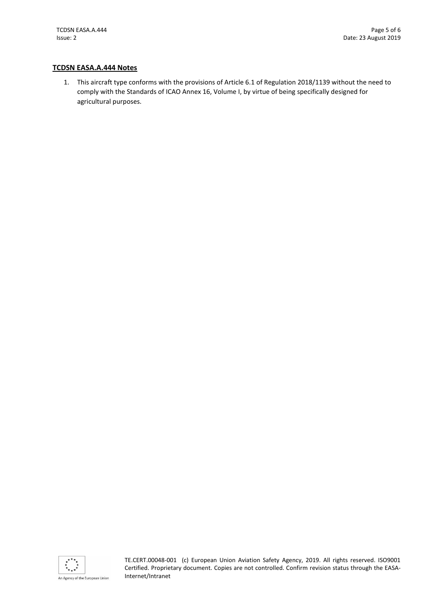### **TCDSN EASA.A.444 Notes**

1. This aircraft type conforms with the provisions of Article 6.1 of Regulation 2018/1139 without the need to comply with the Standards of ICAO Annex 16, Volume I, by virtue of being specifically designed for agricultural purposes.



TE.CERT.00048-001 (c) European Union Aviation Safety Agency, 2019. All rights reserved. ISO9001 Certified. Proprietary document. Copies are not controlled. Confirm revision status through the EASA-Internet/Intranet